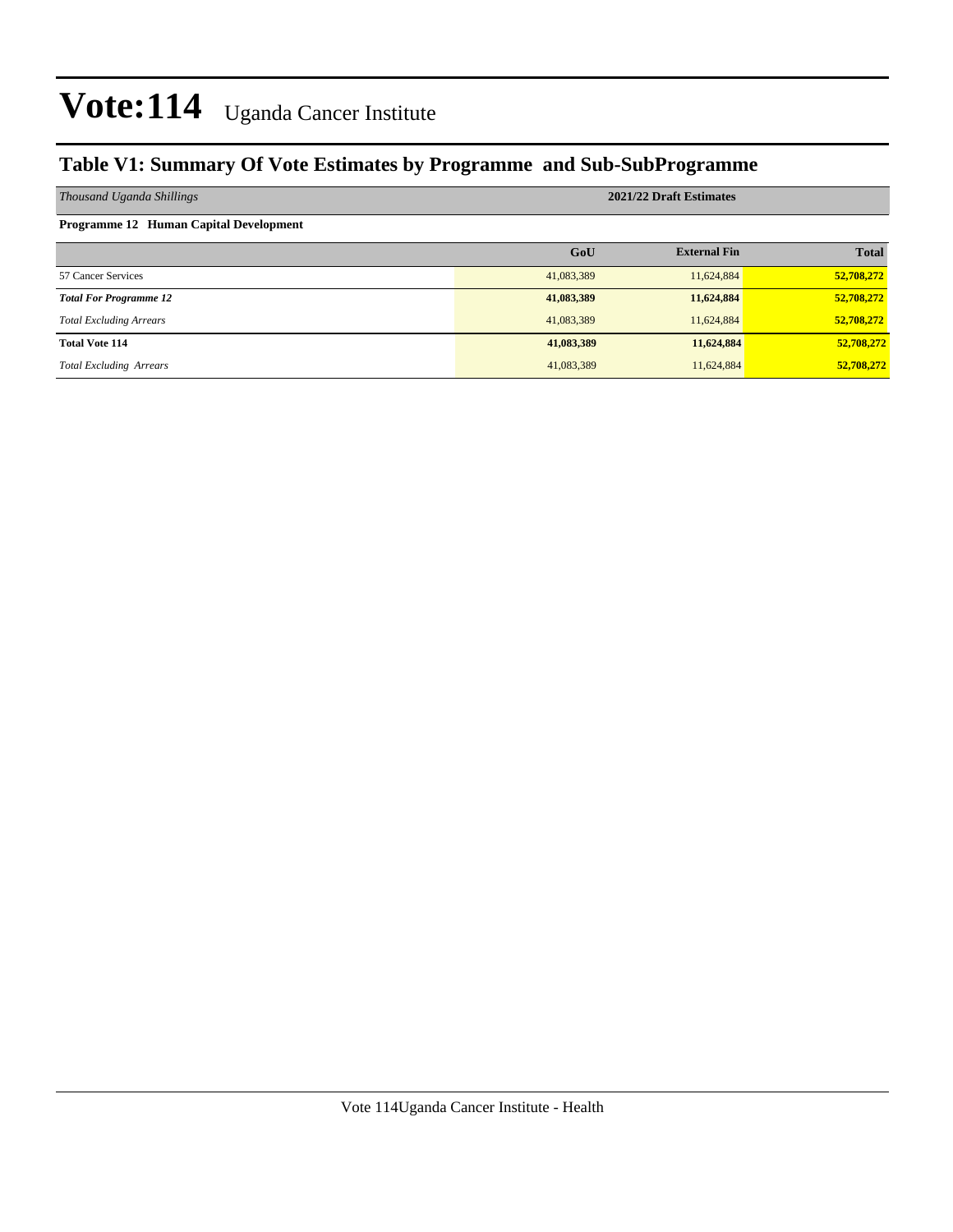#### **Table V1: Summary Of Vote Estimates by Programme and Sub-SubProgramme**

| Thousand Uganda Shillings                     | 2021/22 Draft Estimates |                     |              |  |  |
|-----------------------------------------------|-------------------------|---------------------|--------------|--|--|
| <b>Programme 12 Human Capital Development</b> |                         |                     |              |  |  |
|                                               | GoU                     | <b>External Fin</b> | <b>Total</b> |  |  |
| 57 Cancer Services                            | 41,083,389              | 11,624,884          | 52,708,272   |  |  |
| <b>Total For Programme 12</b>                 | 41,083,389              | 11,624,884          | 52,708,272   |  |  |
| <b>Total Excluding Arrears</b>                | 41,083,389              | 11,624,884          | 52,708,272   |  |  |
| <b>Total Vote 114</b>                         | 41,083,389              | 11,624,884          | 52,708,272   |  |  |
| <b>Total Excluding Arrears</b>                | 41,083,389              | 11,624,884          | 52,708,272   |  |  |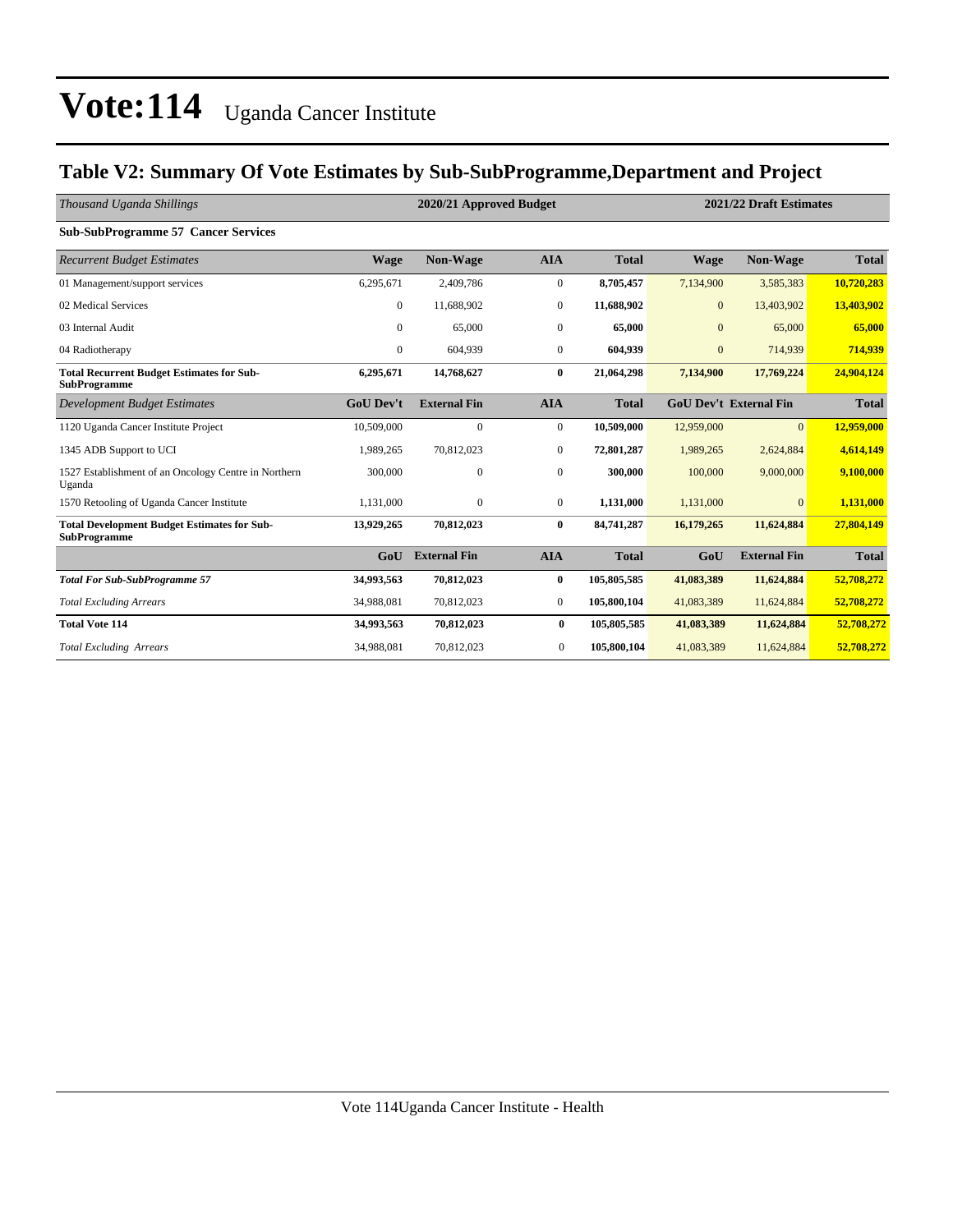#### **Table V2: Summary Of Vote Estimates by Sub-SubProgramme,Department and Project**

| Thousand Uganda Shillings                                                 |                  | 2020/21 Approved Budget |                  |              | 2021/22 Draft Estimates |                               |              |
|---------------------------------------------------------------------------|------------------|-------------------------|------------------|--------------|-------------------------|-------------------------------|--------------|
| <b>Sub-SubProgramme 57 Cancer Services</b>                                |                  |                         |                  |              |                         |                               |              |
| <b>Recurrent Budget Estimates</b>                                         | <b>Wage</b>      | <b>Non-Wage</b>         | <b>AIA</b>       | <b>Total</b> | <b>Wage</b>             | <b>Non-Wage</b>               | <b>Total</b> |
| 01 Management/support services                                            | 6.295.671        | 2,409,786               | $\overline{0}$   | 8,705,457    | 7,134,900               | 3,585,383                     | 10,720,283   |
| 02 Medical Services                                                       | 0                | 11,688,902              | $\bf{0}$         | 11,688,902   | $\mathbf{0}$            | 13,403,902                    | 13,403,902   |
| 03 Internal Audit                                                         | $\overline{0}$   | 65,000                  | $\boldsymbol{0}$ | 65,000       | $\overline{0}$          | 65,000                        | 65,000       |
| 04 Radiotherapy                                                           | 0                | 604,939                 | $\mathbf{0}$     | 604,939      | $\boldsymbol{0}$        | 714,939                       | 714,939      |
| <b>Total Recurrent Budget Estimates for Sub-</b><br><b>SubProgramme</b>   | 6,295,671        | 14,768,627              | $\bf{0}$         | 21,064,298   | 7,134,900               | 17,769,224                    | 24,904,124   |
| Development Budget Estimates                                              | <b>GoU Dev't</b> | <b>External Fin</b>     | <b>AIA</b>       | <b>Total</b> |                         | <b>GoU Dev't External Fin</b> | <b>Total</b> |
| 1120 Uganda Cancer Institute Project                                      | 10,509,000       | $\mathbf{0}$            | $\overline{0}$   | 10,509,000   | 12,959,000              | $\overline{0}$                | 12,959,000   |
| 1345 ADB Support to UCI                                                   | 1,989,265        | 70,812,023              | $\boldsymbol{0}$ | 72,801,287   | 1,989,265               | 2,624,884                     | 4,614,149    |
| 1527 Establishment of an Oncology Centre in Northern<br>Uganda            | 300,000          | $\mathbf{0}$            | $\mathbf{0}$     | 300,000      | 100,000                 | 9,000,000                     | 9,100,000    |
| 1570 Retooling of Uganda Cancer Institute                                 | 1,131,000        | $\boldsymbol{0}$        | $\boldsymbol{0}$ | 1,131,000    | 1,131,000               | $\mathbf{0}$                  | 1,131,000    |
| <b>Total Development Budget Estimates for Sub-</b><br><b>SubProgramme</b> | 13,929,265       | 70,812,023              | $\bf{0}$         | 84,741,287   | 16,179,265              | 11,624,884                    | 27,804,149   |
|                                                                           | G <sub>0</sub> U | <b>External Fin</b>     | <b>AIA</b>       | <b>Total</b> | GoU                     | <b>External Fin</b>           | <b>Total</b> |
| <b>Total For Sub-SubProgramme 57</b>                                      | 34,993,563       | 70,812,023              | $\bf{0}$         | 105,805,585  | 41,083,389              | 11,624,884                    | 52,708,272   |
| <b>Total Excluding Arrears</b>                                            | 34,988,081       | 70,812,023              | $\boldsymbol{0}$ | 105,800,104  | 41,083,389              | 11,624,884                    | 52,708,272   |
| <b>Total Vote 114</b>                                                     | 34,993,563       | 70,812,023              | $\bf{0}$         | 105,805,585  | 41,083,389              | 11,624,884                    | 52,708,272   |
| <b>Total Excluding Arrears</b>                                            | 34,988,081       | 70,812,023              | $\mathbf{0}$     | 105,800,104  | 41,083,389              | 11,624,884                    | 52,708,272   |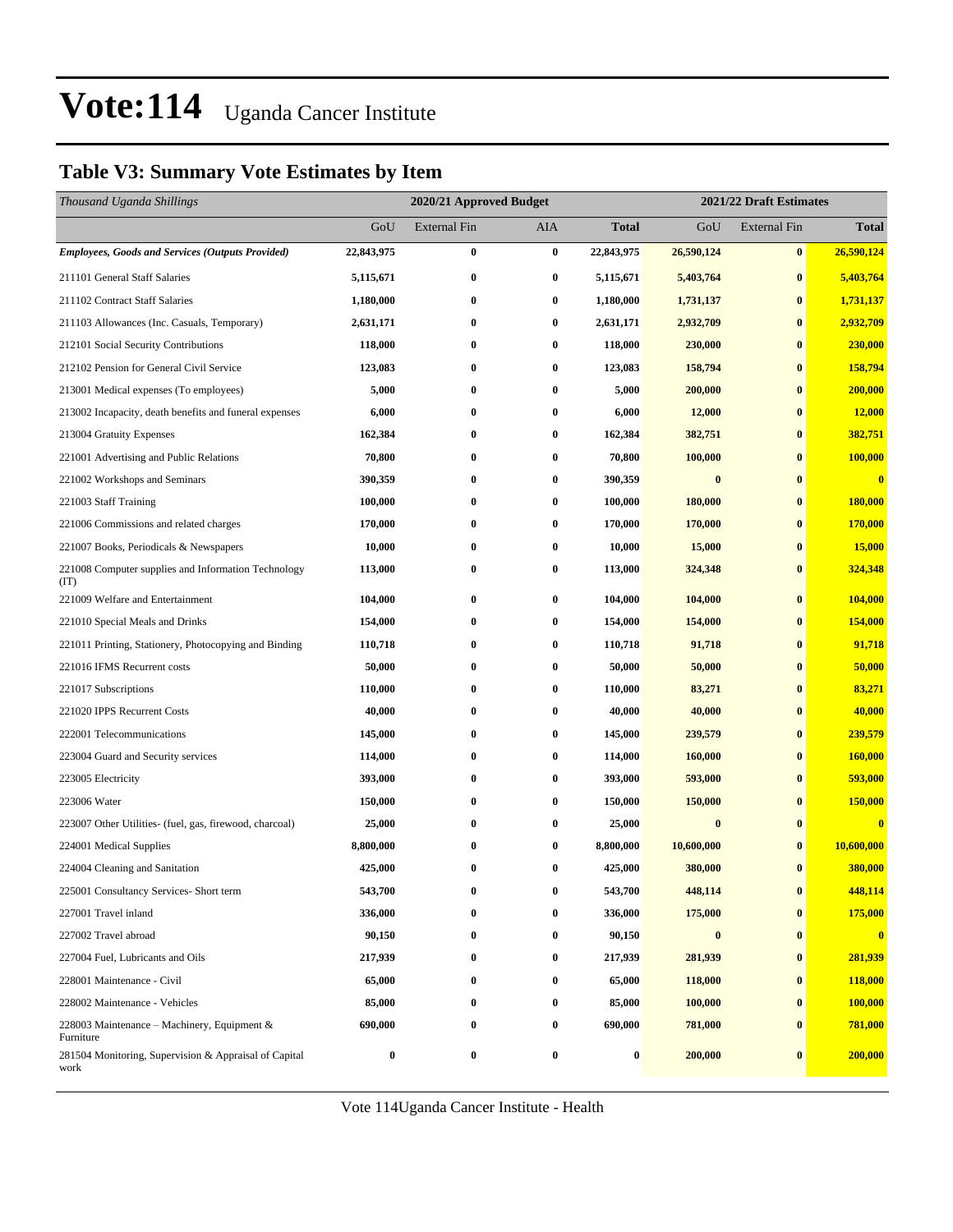#### **Table V3: Summary Vote Estimates by Item**

| Thousand Uganda Shillings                                     |                  | 2020/21 Approved Budget |                  |            | 2021/22 Draft Estimates |                     |                         |  |
|---------------------------------------------------------------|------------------|-------------------------|------------------|------------|-------------------------|---------------------|-------------------------|--|
|                                                               | GoU              | <b>External Fin</b>     | AIA              | Total      | GoU                     | <b>External Fin</b> | <b>Total</b>            |  |
| <b>Employees, Goods and Services (Outputs Provided)</b>       | 22,843,975       | $\bf{0}$                | $\bf{0}$         | 22,843,975 | 26,590,124              | $\bf{0}$            | 26,590,124              |  |
| 211101 General Staff Salaries                                 | 5,115,671        | $\bf{0}$                | $\bf{0}$         | 5,115,671  | 5,403,764               | $\bf{0}$            | 5,403,764               |  |
| 211102 Contract Staff Salaries                                | 1,180,000        | $\bf{0}$                | $\bf{0}$         | 1,180,000  | 1,731,137               | $\bf{0}$            | 1,731,137               |  |
| 211103 Allowances (Inc. Casuals, Temporary)                   | 2,631,171        | $\bf{0}$                | $\bf{0}$         | 2,631,171  | 2,932,709               | $\bf{0}$            | 2,932,709               |  |
| 212101 Social Security Contributions                          | 118,000          | $\bf{0}$                | $\bf{0}$         | 118,000    | 230,000                 | $\bf{0}$            | 230,000                 |  |
| 212102 Pension for General Civil Service                      | 123,083          | $\bf{0}$                | $\bf{0}$         | 123,083    | 158,794                 | $\bf{0}$            | 158,794                 |  |
| 213001 Medical expenses (To employees)                        | 5,000            | $\bf{0}$                | $\bf{0}$         | 5,000      | 200,000                 | $\bf{0}$            | 200,000                 |  |
| 213002 Incapacity, death benefits and funeral expenses        | 6,000            | $\bf{0}$                | 0                | 6,000      | 12,000                  | $\bf{0}$            | 12,000                  |  |
| 213004 Gratuity Expenses                                      | 162,384          | $\bf{0}$                | $\bf{0}$         | 162,384    | 382,751                 | $\bf{0}$            | 382,751                 |  |
| 221001 Advertising and Public Relations                       | 70,800           | $\bf{0}$                | $\bf{0}$         | 70,800     | 100,000                 | $\bf{0}$            | 100,000                 |  |
| 221002 Workshops and Seminars                                 | 390,359          | $\bf{0}$                | $\bf{0}$         | 390,359    | $\bf{0}$                | $\bf{0}$            | $\overline{\mathbf{0}}$ |  |
| 221003 Staff Training                                         | 100,000          | $\bf{0}$                | $\bf{0}$         | 100,000    | 180,000                 | $\bf{0}$            | 180,000                 |  |
| 221006 Commissions and related charges                        | 170,000          | $\bf{0}$                | 0                | 170,000    | 170,000                 | $\bf{0}$            | 170,000                 |  |
| 221007 Books, Periodicals & Newspapers                        | 10,000           | $\bf{0}$                | $\bf{0}$         | 10,000     | 15,000                  | $\bf{0}$            | 15,000                  |  |
| 221008 Computer supplies and Information Technology<br>(TT)   | 113,000          | $\bf{0}$                | $\bf{0}$         | 113,000    | 324,348                 | $\bf{0}$            | 324,348                 |  |
| 221009 Welfare and Entertainment                              | 104,000          | $\bf{0}$                | $\bf{0}$         | 104,000    | 104,000                 | $\bf{0}$            | 104,000                 |  |
| 221010 Special Meals and Drinks                               | 154,000          | $\bf{0}$                | $\bf{0}$         | 154,000    | 154,000                 | $\bf{0}$            | 154,000                 |  |
| 221011 Printing, Stationery, Photocopying and Binding         | 110,718          | $\bf{0}$                | $\bf{0}$         | 110,718    | 91,718                  | $\bf{0}$            | 91,718                  |  |
| 221016 IFMS Recurrent costs                                   | 50,000           | $\bf{0}$                | $\bf{0}$         | 50,000     | 50,000                  | $\bf{0}$            | 50,000                  |  |
| 221017 Subscriptions                                          | 110,000          | $\bf{0}$                | $\bf{0}$         | 110,000    | 83,271                  | $\bf{0}$            | 83,271                  |  |
| 221020 IPPS Recurrent Costs                                   | 40,000           | $\bf{0}$                | $\bf{0}$         | 40,000     | 40,000                  | $\bf{0}$            | 40,000                  |  |
| 222001 Telecommunications                                     | 145,000          | $\bf{0}$                | $\bf{0}$         | 145,000    | 239,579                 | $\bf{0}$            | 239,579                 |  |
| 223004 Guard and Security services                            | 114,000          | $\bf{0}$                | $\bf{0}$         | 114,000    | 160,000                 | $\bf{0}$            | 160,000                 |  |
| 223005 Electricity                                            | 393,000          | $\bf{0}$                | $\bf{0}$         | 393,000    | 593,000                 | $\bf{0}$            | 593,000                 |  |
| 223006 Water                                                  | 150,000          | $\bf{0}$                | $\bf{0}$         | 150,000    | 150,000                 | $\bf{0}$            | 150,000                 |  |
| 223007 Other Utilities- (fuel, gas, firewood, charcoal)       | 25,000           | $\bf{0}$                | $\bf{0}$         | 25,000     | $\bf{0}$                | $\bf{0}$            | $\bf{0}$                |  |
| 224001 Medical Supplies                                       | 8,800,000        | $\bf{0}$                | $\bf{0}$         | 8,800,000  | 10,600,000              | $\bf{0}$            | 10,600,000              |  |
| 224004 Cleaning and Sanitation                                | 425,000          | $\bf{0}$                | $\bf{0}$         | 425,000    | 380,000                 | $\bf{0}$            | 380,000                 |  |
| 225001 Consultancy Services- Short term                       | 543,700          | 0                       | 0                | 543,700    | 448,114                 | $\bf{0}$            | 448,114                 |  |
| 227001 Travel inland                                          | 336,000          | 0                       | 0                | 336,000    | 175,000                 | $\bf{0}$            | 175,000                 |  |
| 227002 Travel abroad                                          | 90,150           | $\boldsymbol{0}$        | $\bf{0}$         | 90,150     | $\bf{0}$                | $\bf{0}$            | $\bf{0}$                |  |
| 227004 Fuel, Lubricants and Oils                              | 217,939          | $\boldsymbol{0}$        | 0                | 217,939    | 281,939                 | $\bf{0}$            | 281,939                 |  |
| 228001 Maintenance - Civil                                    | 65,000           | $\bf{0}$                | $\boldsymbol{0}$ | 65,000     | 118,000                 | $\bf{0}$            | 118,000                 |  |
| 228002 Maintenance - Vehicles                                 | 85,000           | $\bf{0}$                | 0                | 85,000     | 100,000                 | $\bf{0}$            | 100,000                 |  |
| 228003 Maintenance – Machinery, Equipment $\&$<br>Furniture   | 690,000          | $\bf{0}$                | $\bf{0}$         | 690,000    | 781,000                 | $\bf{0}$            | 781,000                 |  |
| 281504 Monitoring, Supervision & Appraisal of Capital<br>work | $\boldsymbol{0}$ | $\bf{0}$                | $\boldsymbol{0}$ | 0          | 200,000                 | $\bf{0}$            | 200,000                 |  |

Vote 114Uganda Cancer Institute - Health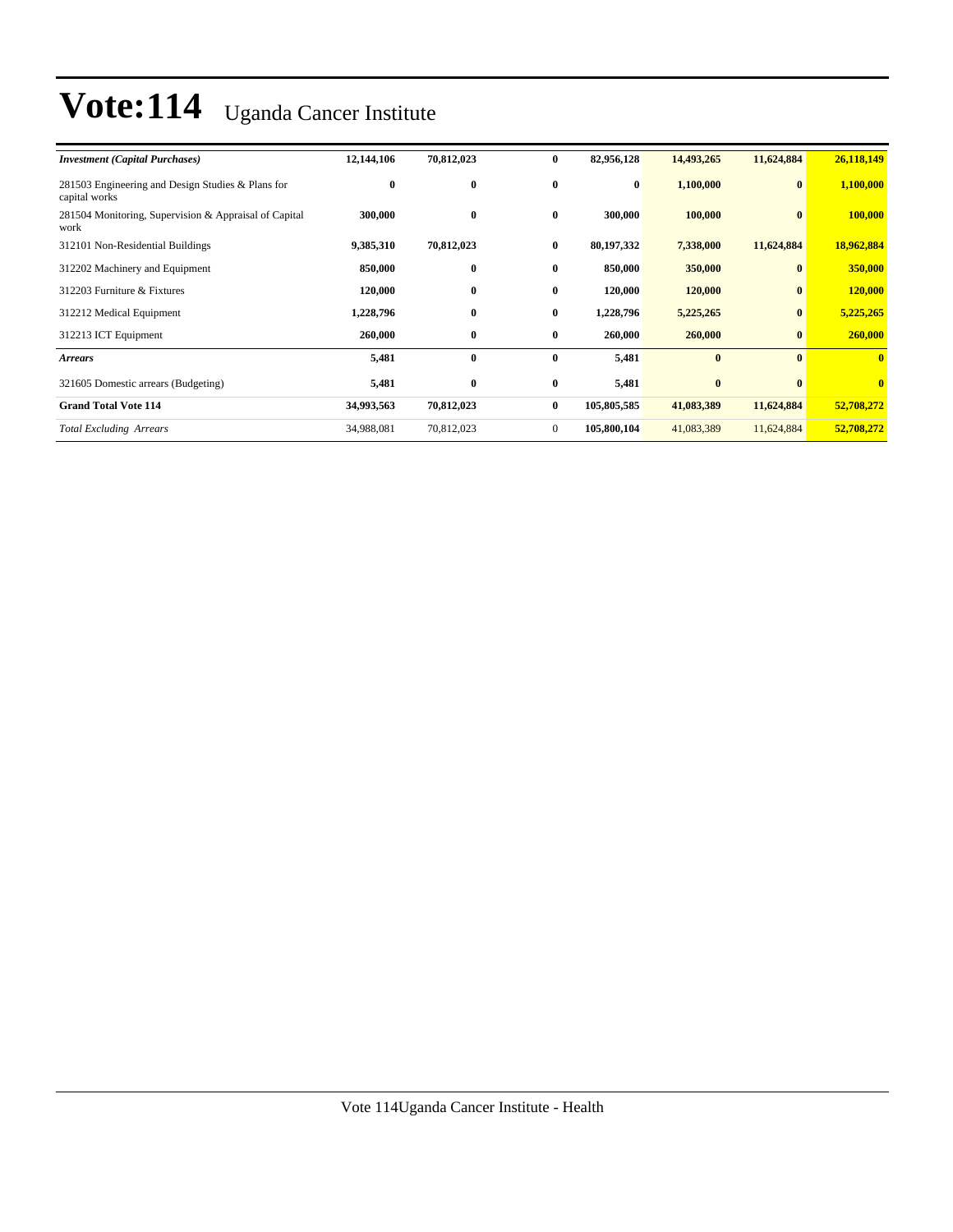| <b>Investment (Capital Purchases)</b>                              | 12,144,106 | 70,812,023 | $\bf{0}$       | 82,956,128  | 14,493,265 | 11,624,884   | 26,118,149              |
|--------------------------------------------------------------------|------------|------------|----------------|-------------|------------|--------------|-------------------------|
| 281503 Engineering and Design Studies & Plans for<br>capital works | $\bf{0}$   | $\bf{0}$   | $\bf{0}$       | $\bf{0}$    | 1,100,000  | $\bf{0}$     | 1,100,000               |
| 281504 Monitoring, Supervision & Appraisal of Capital<br>work      | 300,000    | $\bf{0}$   | $\bf{0}$       | 300,000     | 100,000    | $\bf{0}$     | 100,000                 |
| 312101 Non-Residential Buildings                                   | 9,385,310  | 70,812,023 | $\bf{0}$       | 80,197,332  | 7,338,000  | 11,624,884   | 18,962,884              |
| 312202 Machinery and Equipment                                     | 850,000    | $\bf{0}$   | $\bf{0}$       | 850,000     | 350,000    | $\mathbf{0}$ | 350,000                 |
| 312203 Furniture & Fixtures                                        | 120,000    | $\bf{0}$   | $\bf{0}$       | 120,000     | 120,000    | $\bf{0}$     | 120,000                 |
| 312212 Medical Equipment                                           | 1,228,796  | $\bf{0}$   | $\bf{0}$       | 1,228,796   | 5,225,265  | $\bf{0}$     | 5,225,265               |
| 312213 ICT Equipment                                               | 260,000    | $\bf{0}$   | $\bf{0}$       | 260,000     | 260,000    | $\bf{0}$     | 260,000                 |
| <b>Arrears</b>                                                     | 5,481      | $\bf{0}$   | $\bf{0}$       | 5,481       | $\bf{0}$   | $\mathbf{0}$ | $\mathbf{0}$            |
| 321605 Domestic arrears (Budgeting)                                | 5,481      | $\bf{0}$   | $\bf{0}$       | 5,481       | $\bf{0}$   | $\mathbf{0}$ | $\overline{\mathbf{0}}$ |
| <b>Grand Total Vote 114</b>                                        | 34,993,563 | 70,812,023 | $\bf{0}$       | 105,805,585 | 41,083,389 | 11,624,884   | 52,708,272              |
| <b>Total Excluding Arrears</b>                                     | 34,988,081 | 70,812,023 | $\overline{0}$ | 105,800,104 | 41,083,389 | 11,624,884   | 52,708,272              |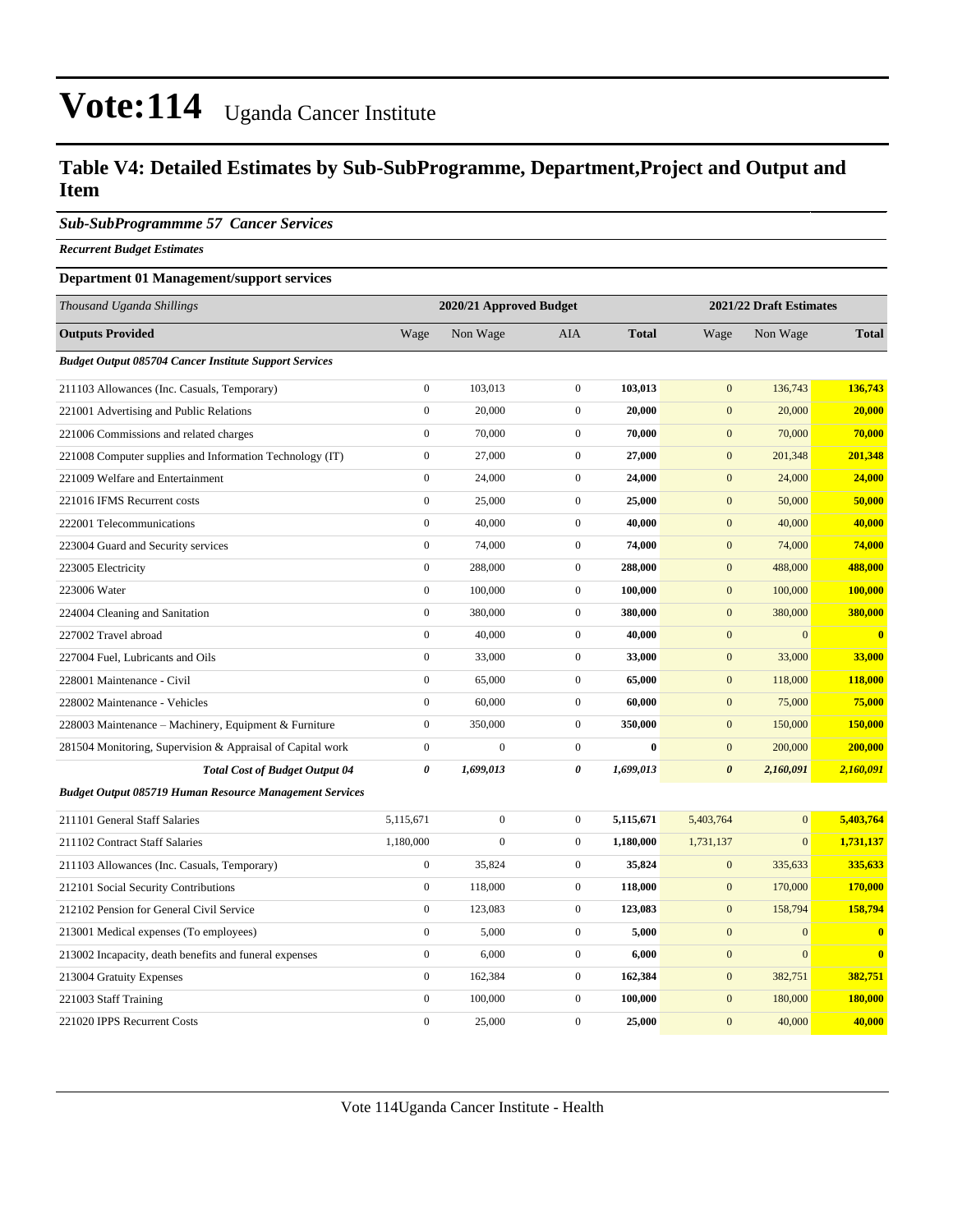#### **Table V4: Detailed Estimates by Sub-SubProgramme, Department,Project and Output and Item**

#### *Sub-SubProgrammme 57 Cancer Services*

*Recurrent Budget Estimates*

#### **Department 01 Management/support services**

| Thousand Uganda Shillings                                     |                  | 2020/21 Approved Budget |                  |              |                       | 2021/22 Draft Estimates |              |  |
|---------------------------------------------------------------|------------------|-------------------------|------------------|--------------|-----------------------|-------------------------|--------------|--|
| <b>Outputs Provided</b>                                       | Wage             | Non Wage                | AIA              | <b>Total</b> | Wage                  | Non Wage                | <b>Total</b> |  |
| <b>Budget Output 085704 Cancer Institute Support Services</b> |                  |                         |                  |              |                       |                         |              |  |
| 211103 Allowances (Inc. Casuals, Temporary)                   | $\overline{0}$   | 103,013                 | $\mathbf{0}$     | 103,013      | $\mathbf{0}$          | 136,743                 | 136,743      |  |
| 221001 Advertising and Public Relations                       | $\boldsymbol{0}$ | 20,000                  | $\mathbf{0}$     | 20,000       | $\mathbf{0}$          | 20,000                  | 20,000       |  |
| 221006 Commissions and related charges                        | $\boldsymbol{0}$ | 70,000                  | $\mathbf{0}$     | 70,000       | $\mathbf{0}$          | 70,000                  | 70,000       |  |
| 221008 Computer supplies and Information Technology (IT)      | $\boldsymbol{0}$ | 27,000                  | $\mathbf{0}$     | 27,000       | $\mathbf{0}$          | 201,348                 | 201,348      |  |
| 221009 Welfare and Entertainment                              | $\overline{0}$   | 24,000                  | $\mathbf{0}$     | 24,000       | $\mathbf{0}$          | 24,000                  | 24,000       |  |
| 221016 IFMS Recurrent costs                                   | $\boldsymbol{0}$ | 25,000                  | $\mathbf{0}$     | 25,000       | $\mathbf{0}$          | 50,000                  | 50,000       |  |
| 222001 Telecommunications                                     | $\boldsymbol{0}$ | 40,000                  | $\mathbf{0}$     | 40,000       | $\mathbf{0}$          | 40,000                  | 40,000       |  |
| 223004 Guard and Security services                            | $\boldsymbol{0}$ | 74,000                  | $\mathbf{0}$     | 74,000       | $\boldsymbol{0}$      | 74,000                  | 74,000       |  |
| 223005 Electricity                                            | $\overline{0}$   | 288,000                 | $\boldsymbol{0}$ | 288,000      | $\boldsymbol{0}$      | 488,000                 | 488,000      |  |
| 223006 Water                                                  | $\overline{0}$   | 100,000                 | $\mathbf{0}$     | 100,000      | $\mathbf{0}$          | 100,000                 | 100,000      |  |
| 224004 Cleaning and Sanitation                                | $\overline{0}$   | 380,000                 | $\mathbf{0}$     | 380,000      | $\mathbf{0}$          | 380,000                 | 380,000      |  |
| 227002 Travel abroad                                          | $\overline{0}$   | 40,000                  | $\mathbf{0}$     | 40,000       | $\mathbf{0}$          | $\mathbf{0}$            | $\mathbf{0}$ |  |
| 227004 Fuel, Lubricants and Oils                              | $\overline{0}$   | 33,000                  | $\mathbf{0}$     | 33,000       | $\mathbf{0}$          | 33,000                  | 33,000       |  |
| 228001 Maintenance - Civil                                    | $\boldsymbol{0}$ | 65,000                  | $\mathbf{0}$     | 65,000       | $\mathbf{0}$          | 118,000                 | 118,000      |  |
| 228002 Maintenance - Vehicles                                 | $\boldsymbol{0}$ | 60,000                  | $\mathbf{0}$     | 60,000       | $\mathbf{0}$          | 75,000                  | 75,000       |  |
| 228003 Maintenance - Machinery, Equipment & Furniture         | $\boldsymbol{0}$ | 350,000                 | $\mathbf{0}$     | 350,000      | $\mathbf{0}$          | 150,000                 | 150,000      |  |
| 281504 Monitoring, Supervision & Appraisal of Capital work    | $\boldsymbol{0}$ | $\boldsymbol{0}$        | $\mathbf{0}$     | $\bf{0}$     | $\mathbf{0}$          | 200,000                 | 200,000      |  |
| <b>Total Cost of Budget Output 04</b>                         | 0                | 1,699,013               | 0                | 1,699,013    | $\boldsymbol{\theta}$ | 2,160,091               | 2,160,091    |  |
| Budget Output 085719 Human Resource Management Services       |                  |                         |                  |              |                       |                         |              |  |
| 211101 General Staff Salaries                                 | 5,115,671        | $\boldsymbol{0}$        | $\mathbf{0}$     | 5,115,671    | 5,403,764             | $\overline{0}$          | 5,403,764    |  |
| 211102 Contract Staff Salaries                                | 1,180,000        | $\overline{0}$          | $\mathbf{0}$     | 1,180,000    | 1,731,137             | $\mathbf{0}$            | 1,731,137    |  |
| 211103 Allowances (Inc. Casuals, Temporary)                   | $\boldsymbol{0}$ | 35,824                  | $\mathbf{0}$     | 35,824       | $\mathbf{0}$          | 335,633                 | 335,633      |  |
| 212101 Social Security Contributions                          | $\boldsymbol{0}$ | 118,000                 | $\mathbf{0}$     | 118,000      | $\mathbf{0}$          | 170,000                 | 170,000      |  |
| 212102 Pension for General Civil Service                      | $\boldsymbol{0}$ | 123,083                 | $\mathbf{0}$     | 123,083      | $\mathbf{0}$          | 158,794                 | 158,794      |  |
| 213001 Medical expenses (To employees)                        | $\boldsymbol{0}$ | 5,000                   | $\mathbf{0}$     | 5,000        | $\boldsymbol{0}$      | $\mathbf{0}$            | $\mathbf{0}$ |  |
| 213002 Incapacity, death benefits and funeral expenses        | $\boldsymbol{0}$ | 6,000                   | $\mathbf{0}$     | 6,000        | $\mathbf{0}$          | $\mathbf{0}$            | $\mathbf{0}$ |  |
| 213004 Gratuity Expenses                                      | $\overline{0}$   | 162,384                 | $\overline{0}$   | 162,384      | $\boldsymbol{0}$      | 382,751                 | 382,751      |  |
| 221003 Staff Training                                         | $\overline{0}$   | 100,000                 | $\mathbf{0}$     | 100,000      | $\mathbf{0}$          | 180,000                 | 180,000      |  |
| 221020 IPPS Recurrent Costs                                   | $\theta$         | 25,000                  | $\overline{0}$   | 25,000       | $\overline{0}$        | 40,000                  | 40,000       |  |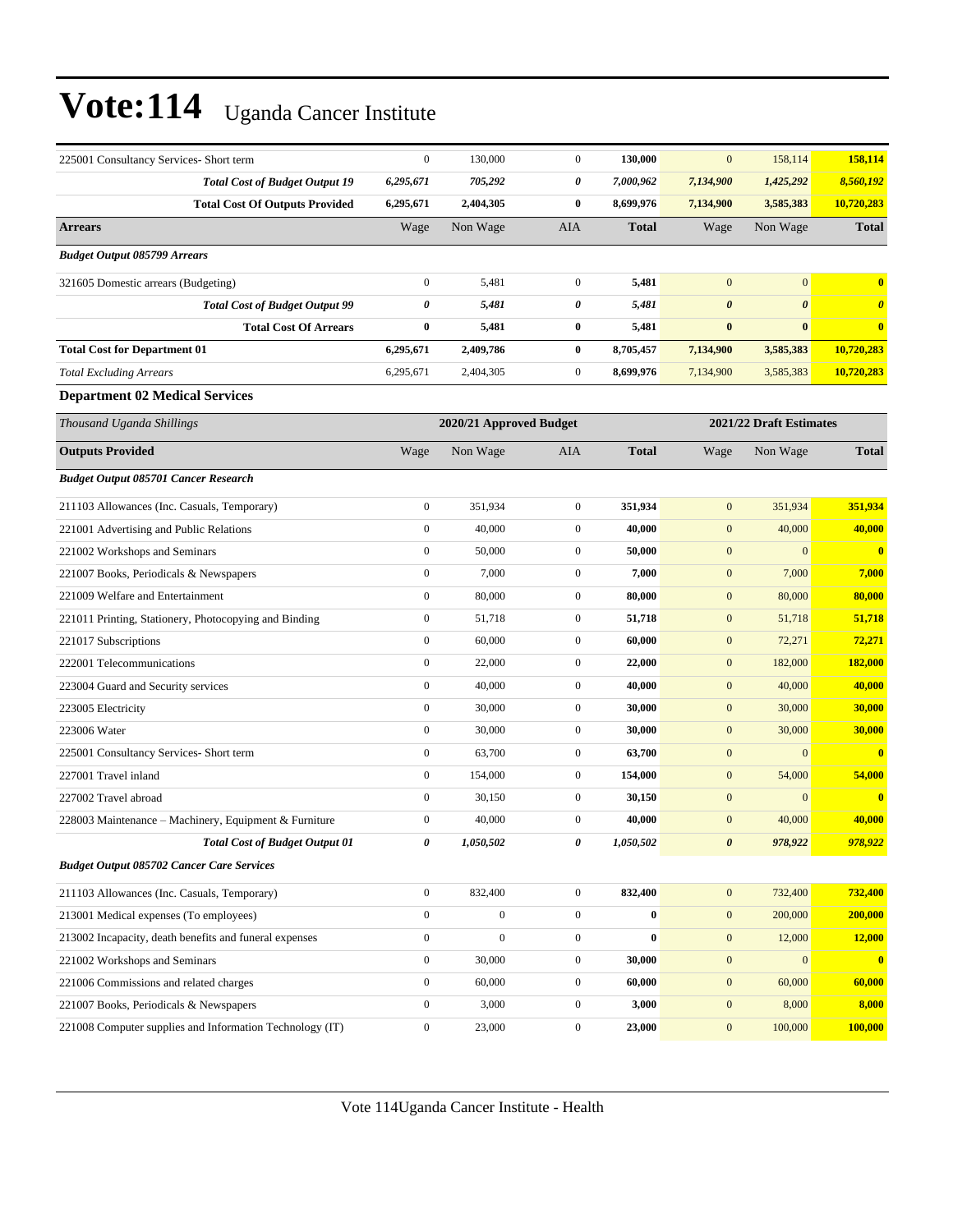| 225001 Consultancy Services- Short term                  | $\boldsymbol{0}$ | 130,000                 | $\boldsymbol{0}$ | 130,000      | $\mathbf{0}$          | 158,114                 | 158,114               |
|----------------------------------------------------------|------------------|-------------------------|------------------|--------------|-----------------------|-------------------------|-----------------------|
| <b>Total Cost of Budget Output 19</b>                    | 6,295,671        | 705,292                 | 0                | 7,000,962    | 7,134,900             | 1,425,292               | 8,560,192             |
| <b>Total Cost Of Outputs Provided</b>                    | 6,295,671        | 2,404,305               | $\bf{0}$         | 8,699,976    | 7,134,900             | 3,585,383               | 10,720,283            |
| <b>Arrears</b>                                           | Wage             | Non Wage                | AIA              | <b>Total</b> | Wage                  | Non Wage                | <b>Total</b>          |
| <b>Budget Output 085799 Arrears</b>                      |                  |                         |                  |              |                       |                         |                       |
| 321605 Domestic arrears (Budgeting)                      | $\mathbf{0}$     | 5,481                   | $\boldsymbol{0}$ | 5,481        | $\mathbf{0}$          | $\mathbf{0}$            | $\bf{0}$              |
| <b>Total Cost of Budget Output 99</b>                    | 0                | 5,481                   | 0                | 5,481        | $\boldsymbol{\theta}$ | $\boldsymbol{\theta}$   | $\boldsymbol{\theta}$ |
| <b>Total Cost Of Arrears</b>                             | $\bf{0}$         | 5,481                   | 0                | 5,481        | $\bf{0}$              | $\bf{0}$                | $\bf{0}$              |
| <b>Total Cost for Department 01</b>                      | 6,295,671        | 2,409,786               | 0                | 8,705,457    | 7,134,900             | 3,585,383               | 10,720,283            |
| <b>Total Excluding Arrears</b>                           | 6,295,671        | 2,404,305               | $\boldsymbol{0}$ | 8,699,976    | 7,134,900             | 3,585,383               | 10,720,283            |
| <b>Department 02 Medical Services</b>                    |                  |                         |                  |              |                       |                         |                       |
| Thousand Uganda Shillings                                |                  | 2020/21 Approved Budget |                  |              |                       | 2021/22 Draft Estimates |                       |
| <b>Outputs Provided</b>                                  | Wage             | Non Wage                | AIA              | <b>Total</b> | Wage                  | Non Wage                | <b>Total</b>          |
| <b>Budget Output 085701 Cancer Research</b>              |                  |                         |                  |              |                       |                         |                       |
| 211103 Allowances (Inc. Casuals, Temporary)              | $\mathbf{0}$     | 351,934                 | $\boldsymbol{0}$ | 351,934      | $\mathbf{0}$          | 351,934                 | 351,934               |
| 221001 Advertising and Public Relations                  | $\mathbf{0}$     | 40,000                  | $\boldsymbol{0}$ | 40,000       | $\boldsymbol{0}$      | 40,000                  | 40,000                |
| 221002 Workshops and Seminars                            | $\boldsymbol{0}$ | 50,000                  | $\boldsymbol{0}$ | 50,000       | $\mathbf{0}$          | $\mathbf{0}$            | $\bf{0}$              |
| 221007 Books, Periodicals & Newspapers                   | $\boldsymbol{0}$ | 7,000                   | $\boldsymbol{0}$ | 7,000        | $\boldsymbol{0}$      | 7,000                   | 7,000                 |
| 221009 Welfare and Entertainment                         | $\boldsymbol{0}$ | 80,000                  | $\boldsymbol{0}$ | 80,000       | $\boldsymbol{0}$      | 80,000                  | 80,000                |
| 221011 Printing, Stationery, Photocopying and Binding    | $\boldsymbol{0}$ | 51,718                  | $\boldsymbol{0}$ | 51,718       | $\boldsymbol{0}$      | 51,718                  | 51,718                |
| 221017 Subscriptions                                     | $\boldsymbol{0}$ | 60,000                  | $\boldsymbol{0}$ | 60,000       | $\boldsymbol{0}$      | 72,271                  | 72,271                |
| 222001 Telecommunications                                | $\boldsymbol{0}$ | 22,000                  | $\boldsymbol{0}$ | 22,000       | $\boldsymbol{0}$      | 182,000                 | 182,000               |
| 223004 Guard and Security services                       | $\boldsymbol{0}$ | 40,000                  | $\boldsymbol{0}$ | 40,000       | $\boldsymbol{0}$      | 40,000                  | 40,000                |
| 223005 Electricity                                       | $\boldsymbol{0}$ | 30,000                  | $\boldsymbol{0}$ | 30,000       | $\boldsymbol{0}$      | 30,000                  | 30,000                |
| 223006 Water                                             | $\mathbf{0}$     | 30,000                  | $\boldsymbol{0}$ | 30,000       | $\boldsymbol{0}$      | 30,000                  | 30,000                |
| 225001 Consultancy Services- Short term                  | $\boldsymbol{0}$ | 63,700                  | $\boldsymbol{0}$ | 63,700       | $\boldsymbol{0}$      | $\mathbf{0}$            | $\bf{0}$              |
| 227001 Travel inland                                     | $\boldsymbol{0}$ | 154,000                 | $\boldsymbol{0}$ | 154,000      | $\boldsymbol{0}$      | 54,000                  | 54,000                |
| 227002 Travel abroad                                     | $\boldsymbol{0}$ | 30,150                  | $\boldsymbol{0}$ | 30,150       | $\boldsymbol{0}$      | $\boldsymbol{0}$        | $\bf{0}$              |
| 228003 Maintenance – Machinery, Equipment & Furniture    | $\boldsymbol{0}$ | 40,000                  | $\boldsymbol{0}$ | 40,000       | $\mathbf{0}$          | 40,000                  | 40,000                |
| <b>Total Cost of Budget Output 01</b>                    | 0                | 1,050,502               | 0                | 1,050,502    | $\boldsymbol{\theta}$ | 978,922                 | 978,922               |
| <b>Budget Output 085702 Cancer Care Services</b>         |                  |                         |                  |              |                       |                         |                       |
| 211103 Allowances (Inc. Casuals, Temporary)              | $\mathbf{0}$     | 832,400                 | $\overline{0}$   | 832,400      | $\mathbf{0}$          | 732,400                 | 732,400               |
| 213001 Medical expenses (To employees)                   | $\mathbf{0}$     | $\boldsymbol{0}$        | $\boldsymbol{0}$ | $\bf{0}$     | $\mathbf{0}$          | 200,000                 | 200,000               |
| 213002 Incapacity, death benefits and funeral expenses   | $\boldsymbol{0}$ | $\boldsymbol{0}$        | $\boldsymbol{0}$ | $\bf{0}$     | $\boldsymbol{0}$      | 12,000                  | 12,000                |
| 221002 Workshops and Seminars                            | $\mathbf{0}$     | 30,000                  | $\boldsymbol{0}$ | 30,000       | $\boldsymbol{0}$      | $\mathbf{0}$            | $\bf{0}$              |
| 221006 Commissions and related charges                   | $\mathbf{0}$     | 60,000                  | $\boldsymbol{0}$ | 60,000       | $\boldsymbol{0}$      | 60,000                  | 60,000                |
| 221007 Books, Periodicals & Newspapers                   | $\boldsymbol{0}$ | 3,000                   | $\boldsymbol{0}$ | 3,000        | $\boldsymbol{0}$      | 8,000                   | 8,000                 |
| 221008 Computer supplies and Information Technology (IT) | $\boldsymbol{0}$ | 23,000                  | $\boldsymbol{0}$ | 23,000       | $\boldsymbol{0}$      | 100,000                 | 100,000               |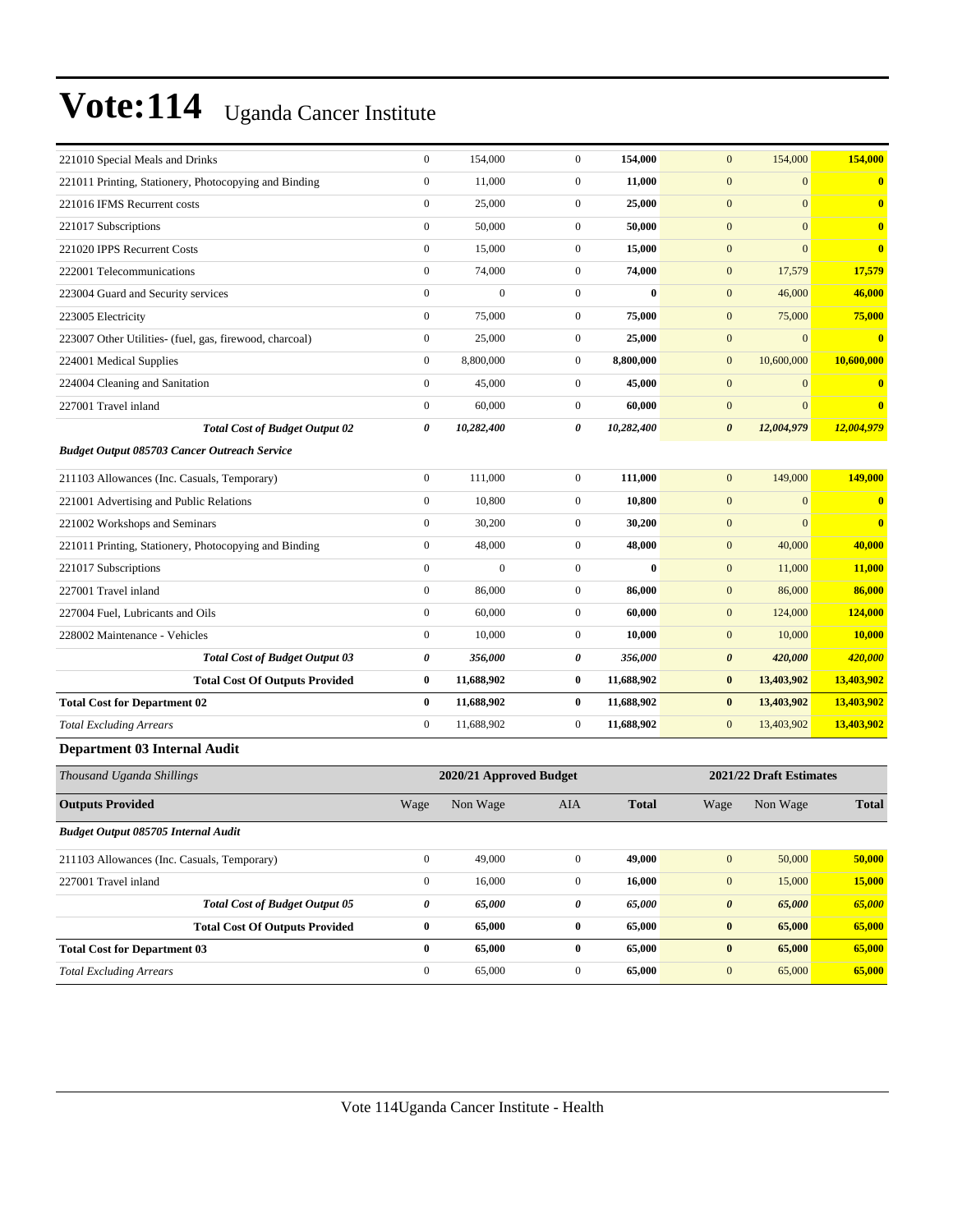| 221010 Special Meals and Drinks                         | $\boldsymbol{0}$      | 154,000                 | $\mathbf{0}$     | 154,000      | 154,000<br>$\mathbf{0}$             | 154,000                                 |
|---------------------------------------------------------|-----------------------|-------------------------|------------------|--------------|-------------------------------------|-----------------------------------------|
| 221011 Printing, Stationery, Photocopying and Binding   | $\boldsymbol{0}$      | 11,000                  | $\boldsymbol{0}$ | 11,000       | $\mathbf{0}$                        | $\mathbf{0}$<br>$\bf{0}$                |
| 221016 IFMS Recurrent costs                             | $\boldsymbol{0}$      | 25,000                  | $\mathbf{0}$     | 25,000       | $\mathbf{0}$                        | $\overline{0}$<br>$\bf{0}$              |
| 221017 Subscriptions                                    | $\boldsymbol{0}$      | 50,000                  | $\overline{0}$   | 50,000       | $\boldsymbol{0}$                    | $\mathbf{0}$<br>$\bf{0}$                |
| 221020 IPPS Recurrent Costs                             | $\mathbf{0}$          | 15,000                  | $\overline{0}$   | 15,000       | $\mathbf{0}$                        | $\mathbf{0}$<br>$\bf{0}$                |
| 222001 Telecommunications                               | $\boldsymbol{0}$      | 74,000                  | $\mathbf{0}$     | 74,000       | $\mathbf{0}$<br>17,579              | 17,579                                  |
| 223004 Guard and Security services                      | $\mathbf{0}$          | $\boldsymbol{0}$        | $\overline{0}$   | $\bf{0}$     | $\mathbf{0}$<br>46,000              | 46,000                                  |
| 223005 Electricity                                      | $\boldsymbol{0}$      | 75,000                  | $\mathbf{0}$     | 75,000       | $\mathbf{0}$<br>75,000              | 75,000                                  |
| 223007 Other Utilities- (fuel, gas, firewood, charcoal) | $\boldsymbol{0}$      | 25,000                  | $\overline{0}$   | 25,000       | $\boldsymbol{0}$                    | $\mathbf{0}$<br>$\overline{\mathbf{0}}$ |
| 224001 Medical Supplies                                 | $\boldsymbol{0}$      | 8,800,000               | $\mathbf{0}$     | 8,800,000    | 10,600,000<br>$\mathbf{0}$          | 10,600,000                              |
| 224004 Cleaning and Sanitation                          | $\boldsymbol{0}$      | 45,000                  | $\mathbf{0}$     | 45,000       | $\mathbf{0}$                        | $\mathbf{0}$<br>$\bf{0}$                |
| 227001 Travel inland                                    | $\boldsymbol{0}$      | 60,000                  | $\overline{0}$   | 60,000       | $\boldsymbol{0}$                    | $\mathbf{0}$<br>$\bf{0}$                |
| <b>Total Cost of Budget Output 02</b>                   | 0                     | 10,282,400              | 0                | 10,282,400   | 12,004,979<br>$\boldsymbol{\theta}$ | 12,004,979                              |
| <b>Budget Output 085703 Cancer Outreach Service</b>     |                       |                         |                  |              |                                     |                                         |
| 211103 Allowances (Inc. Casuals, Temporary)             | $\boldsymbol{0}$      | 111,000                 | $\mathbf{0}$     | 111,000      | 149,000<br>$\mathbf{0}$             | 149,000                                 |
| 221001 Advertising and Public Relations                 | $\boldsymbol{0}$      | 10,800                  | $\overline{0}$   | 10,800       | $\mathbf{0}$                        | $\mathbf{0}$<br>$\mathbf{0}$            |
| 221002 Workshops and Seminars                           | $\boldsymbol{0}$      | 30,200                  | $\mathbf{0}$     | 30,200       | $\boldsymbol{0}$                    | $\overline{0}$<br>$\bf{0}$              |
| 221011 Printing, Stationery, Photocopying and Binding   | $\boldsymbol{0}$      | 48,000                  | $\overline{0}$   | 48,000       | 40,000<br>$\mathbf{0}$              | 40,000                                  |
| 221017 Subscriptions                                    | $\mathbf{0}$          | $\mathbf{0}$            | $\mathbf{0}$     | $\bf{0}$     | $\mathbf{0}$<br>11,000              | 11,000                                  |
| 227001 Travel inland                                    | $\boldsymbol{0}$      | 86,000                  | $\overline{0}$   | 86,000       | $\mathbf{0}$<br>86,000              | 86,000                                  |
| 227004 Fuel, Lubricants and Oils                        | $\boldsymbol{0}$      | 60,000                  | $\overline{0}$   | 60,000       | $\mathbf{0}$<br>124,000             | 124,000                                 |
| 228002 Maintenance - Vehicles                           | $\boldsymbol{0}$      | 10,000                  | $\mathbf{0}$     | 10,000       | $\mathbf{0}$<br>10,000              | 10,000                                  |
| <b>Total Cost of Budget Output 03</b>                   | $\boldsymbol{\theta}$ | 356,000                 | 0                | 356,000      | $\pmb{\theta}$<br>420,000           | 420,000                                 |
| <b>Total Cost Of Outputs Provided</b>                   | $\bf{0}$              | 11,688,902              | $\bf{0}$         | 11,688,902   | $\bf{0}$<br>13,403,902              | 13,403,902                              |
| <b>Total Cost for Department 02</b>                     | $\bf{0}$              | 11,688,902              | $\bf{0}$         | 11,688,902   | 13,403,902<br>$\bf{0}$              | 13,403,902                              |
| <b>Total Excluding Arrears</b>                          | $\boldsymbol{0}$      | 11,688,902              | $\mathbf{0}$     | 11,688,902   | $\mathbf{0}$<br>13,403,902          | 13,403,902                              |
| <b>Department 03 Internal Audit</b>                     |                       |                         |                  |              |                                     |                                         |
| Thousand Uganda Shillings                               |                       | 2020/21 Approved Budget |                  |              | 2021/22 Draft Estimates             |                                         |
| <b>Outputs Provided</b>                                 | Wage                  | Non Wage                | AIA              | <b>Total</b> | Wage<br>Non Wage                    | <b>Total</b>                            |
| <b>Budget Output 085705 Internal Audit</b>              |                       |                         |                  |              |                                     |                                         |
| 211103 Allowances (Inc. Casuals, Temporary)             | $\boldsymbol{0}$      | 49,000                  | $\overline{0}$   | 49,000       | $\boldsymbol{0}$<br>50,000          | 50,000                                  |
| 227001 Travel inland                                    | $\boldsymbol{0}$      | 16,000                  | $\boldsymbol{0}$ | 16,000       | $\boldsymbol{0}$<br>15,000          | 15,000                                  |
| <b>Total Cost of Budget Output 05</b>                   | $\pmb{\theta}$        | 65,000                  | 0                | 65,000       | $\boldsymbol{\theta}$               | 65,000<br>65,000                        |
| <b>Total Cost Of Outputs Provided</b>                   | $\pmb{0}$             | 65,000                  | $\bf{0}$         | 65,000       | $\boldsymbol{0}$<br>65,000          | 65,000                                  |
| <b>Total Cost for Department 03</b>                     | $\bf{0}$              | 65,000                  | $\bf{0}$         | 65,000       | $\boldsymbol{0}$                    | 65,000<br>65,000                        |
| <b>Total Excluding Arrears</b>                          | $\boldsymbol{0}$      | 65,000                  | $\boldsymbol{0}$ | 65,000       | $\mathbf{0}$                        | 65,000<br>65,000                        |
|                                                         |                       |                         |                  |              |                                     |                                         |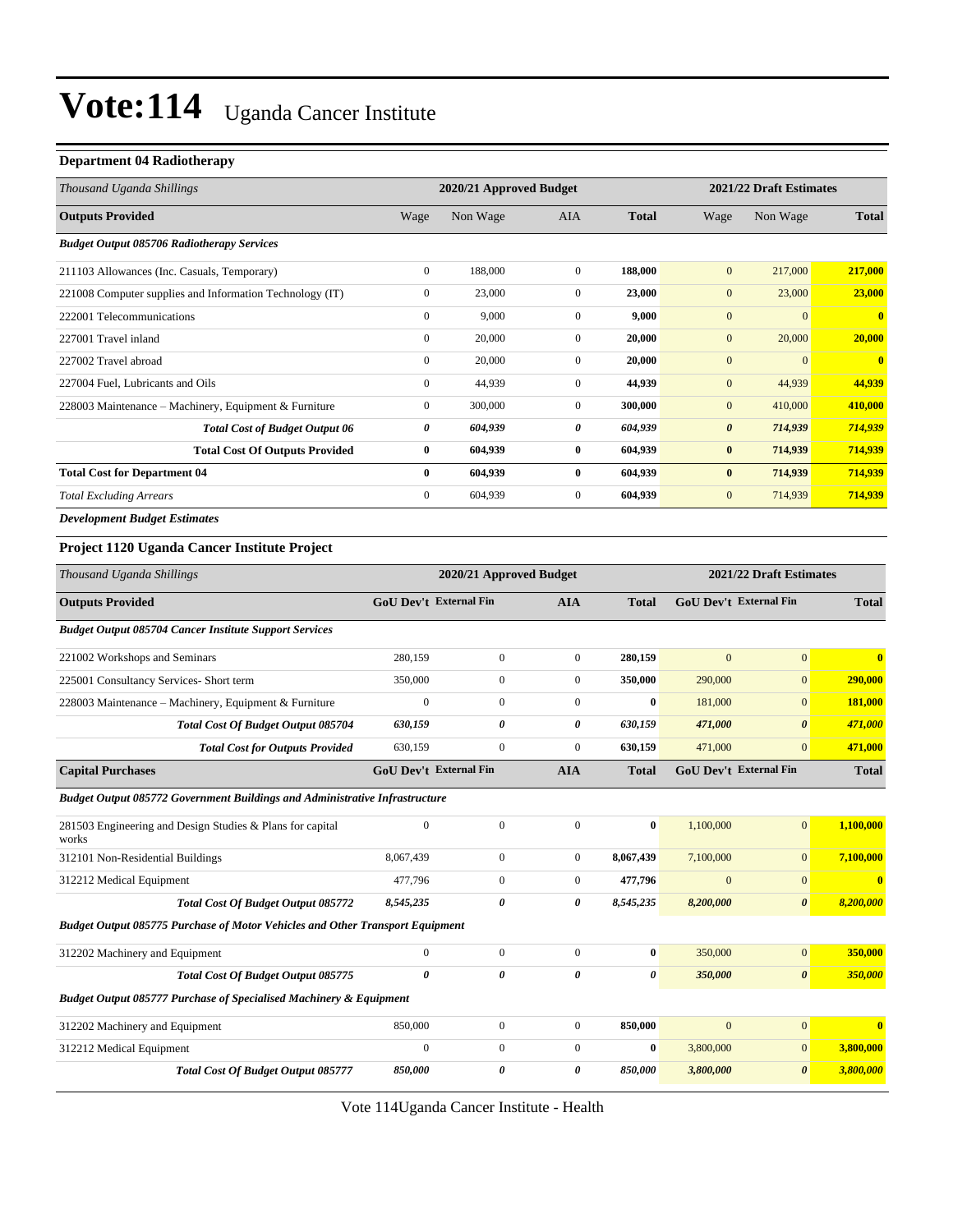#### **Department 04 Radiotherapy**

| Thousand Uganda Shillings                                | 2020/21 Approved Budget |          |              |              | 2021/22 Draft Estimates |                |                |
|----------------------------------------------------------|-------------------------|----------|--------------|--------------|-------------------------|----------------|----------------|
| <b>Outputs Provided</b>                                  | Wage                    | Non Wage | <b>AIA</b>   | <b>Total</b> | Wage                    | Non Wage       | <b>Total</b>   |
| <b>Budget Output 085706 Radiotherapy Services</b>        |                         |          |              |              |                         |                |                |
| 211103 Allowances (Inc. Casuals, Temporary)              | $\overline{0}$          | 188,000  | $\mathbf{0}$ | 188,000      | $\mathbf{0}$            | 217,000        | 217,000        |
| 221008 Computer supplies and Information Technology (IT) | $\overline{0}$          | 23,000   | $\Omega$     | 23,000       | $\mathbf{0}$            | 23,000         | 23,000         |
| 222001 Telecommunications                                | $\mathbf{0}$            | 9,000    | $\mathbf{0}$ | 9,000        | $\mathbf{0}$            | $\overline{0}$ | $\overline{0}$ |
| 227001 Travel inland                                     | $\mathbf{0}$            | 20,000   | $\mathbf{0}$ | 20,000       | $\mathbf{0}$            | 20,000         | 20,000         |
| 227002 Travel abroad                                     | $\mathbf{0}$            | 20,000   | $\mathbf{0}$ | 20,000       | $\overline{0}$          | $\Omega$       | $\overline{0}$ |
| 227004 Fuel, Lubricants and Oils                         | $\mathbf{0}$            | 44,939   | $\mathbf{0}$ | 44,939       | $\mathbf{0}$            | 44,939         | 44,939         |
| 228003 Maintenance – Machinery, Equipment & Furniture    | $\overline{0}$          | 300,000  | $\mathbf{0}$ | 300,000      | $\overline{0}$          | 410,000        | 410,000        |
| <b>Total Cost of Budget Output 06</b>                    | 0                       | 604,939  | 0            | 604,939      | $\boldsymbol{\theta}$   | 714,939        | 714,939        |
| <b>Total Cost Of Outputs Provided</b>                    | $\bf{0}$                | 604,939  | $\bf{0}$     | 604,939      | $\bf{0}$                | 714,939        | 714,939        |
| <b>Total Cost for Department 04</b>                      | $\bf{0}$                | 604,939  | $\mathbf{0}$ | 604,939      | $\bf{0}$                | 714,939        | 714,939        |
| <b>Total Excluding Arrears</b>                           | $\overline{0}$          | 604,939  | $\mathbf{0}$ | 604,939      | $\mathbf{0}$            | 714,939        | 714,939        |
| <b>Development Budget Estimates</b>                      |                         |          |              |              |                         |                |                |

#### **Project 1120 Uganda Cancer Institute Project**

| Thousand Uganda Shillings                                                            | 2020/21 Approved Budget |                               |                  | 2021/22 Draft Estimates |                |                               |              |
|--------------------------------------------------------------------------------------|-------------------------|-------------------------------|------------------|-------------------------|----------------|-------------------------------|--------------|
| <b>Outputs Provided</b>                                                              |                         | GoU Dev't External Fin        | <b>AIA</b>       | <b>Total</b>            |                | GoU Dev't External Fin        | <b>Total</b> |
| <b>Budget Output 085704 Cancer Institute Support Services</b>                        |                         |                               |                  |                         |                |                               |              |
| 221002 Workshops and Seminars                                                        | 280,159                 | $\mathbf{0}$                  | $\overline{0}$   | 280,159                 | $\mathbf{0}$   | $\mathbf{0}$                  | $\mathbf{0}$ |
| 225001 Consultancy Services- Short term                                              | 350,000                 | $\overline{0}$                | $\overline{0}$   | 350,000                 | 290,000        | $\overline{0}$                | 290,000      |
| 228003 Maintenance - Machinery, Equipment & Furniture                                | $\mathbf{0}$            | $\mathbf{0}$                  | $\overline{0}$   | $\bf{0}$                | 181,000        | $\mathbf{0}$                  | 181,000      |
| Total Cost Of Budget Output 085704                                                   | 630,159                 | 0                             | 0                | 630,159                 | 471,000        | $\boldsymbol{\theta}$         | 471,000      |
| <b>Total Cost for Outputs Provided</b>                                               | 630,159                 | $\mathbf{0}$                  | $\overline{0}$   | 630,159                 | 471,000        | $\mathbf{0}$                  | 471,000      |
| <b>Capital Purchases</b>                                                             |                         | <b>GoU Dev't External Fin</b> | <b>AIA</b>       | <b>Total</b>            |                | <b>GoU Dev't External Fin</b> | <b>Total</b> |
| <b>Budget Output 085772 Government Buildings and Administrative Infrastructure</b>   |                         |                               |                  |                         |                |                               |              |
| 281503 Engineering and Design Studies & Plans for capital<br>works                   | $\mathbf{0}$            | $\boldsymbol{0}$              | $\overline{0}$   | $\bf{0}$                | 1,100,000      | $\overline{0}$                | 1,100,000    |
| 312101 Non-Residential Buildings                                                     | 8,067,439               | $\boldsymbol{0}$              | $\boldsymbol{0}$ | 8,067,439               | 7,100,000      | $\mathbf{0}$                  | 7,100,000    |
| 312212 Medical Equipment                                                             | 477,796                 | $\mathbf{0}$                  | $\overline{0}$   | 477,796                 | $\mathbf{0}$   | $\overline{0}$                | $\mathbf{0}$ |
| Total Cost Of Budget Output 085772                                                   | 8,545,235               | 0                             | 0                | 8,545,235               | 8,200,000      | $\boldsymbol{\theta}$         | 8,200,000    |
| <b>Budget Output 085775 Purchase of Motor Vehicles and Other Transport Equipment</b> |                         |                               |                  |                         |                |                               |              |
| 312202 Machinery and Equipment                                                       | $\mathbf{0}$            | $\mathbf{0}$                  | $\overline{0}$   | $\bf{0}$                | 350,000        | $\mathbf{0}$                  | 350,000      |
| <b>Total Cost Of Budget Output 085775</b>                                            | 0                       | 0                             | 0                | 0                       | 350,000        | $\boldsymbol{\theta}$         | 350,000      |
| <b>Budget Output 085777 Purchase of Specialised Machinery &amp; Equipment</b>        |                         |                               |                  |                         |                |                               |              |
| 312202 Machinery and Equipment                                                       | 850,000                 | $\overline{0}$                | $\overline{0}$   | 850,000                 | $\overline{0}$ | $\overline{0}$                | $\bf{0}$     |
| 312212 Medical Equipment                                                             | $\mathbf{0}$            | $\boldsymbol{0}$              | $\overline{0}$   | $\bf{0}$                | 3,800,000      | $\mathbf{0}$                  | 3,800,000    |
| <b>Total Cost Of Budget Output 085777</b>                                            | 850,000                 | 0                             | 0                | 850,000                 | 3,800,000      | $\boldsymbol{\theta}$         | 3,800,000    |

Vote 114Uganda Cancer Institute - Health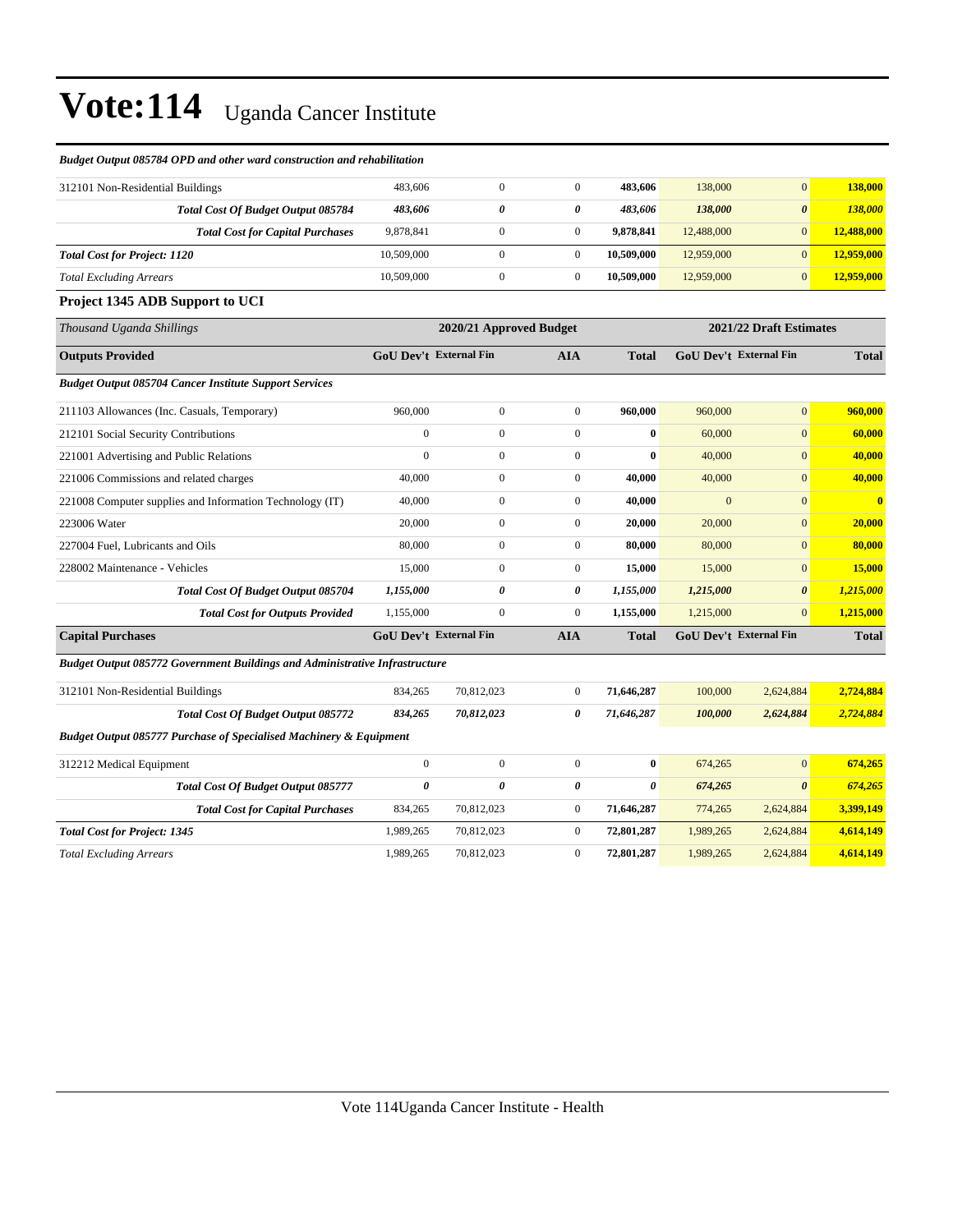#### *Budget Output 085784 OPD and other ward construction and rehabilitation*

| 312101 Non-Residential Buildings                                                   | 483,606                       | $\overline{0}$        | $\overline{0}$   | 483,606               | 138,000      | $\overline{0}$                | 138,000      |
|------------------------------------------------------------------------------------|-------------------------------|-----------------------|------------------|-----------------------|--------------|-------------------------------|--------------|
| Total Cost Of Budget Output 085784                                                 | 483,606                       | $\boldsymbol{\theta}$ | 0                | 483,606               | 138,000      | $\boldsymbol{\theta}$         | 138,000      |
| <b>Total Cost for Capital Purchases</b>                                            | 9,878,841                     | $\boldsymbol{0}$      | $\overline{0}$   | 9,878,841             | 12,488,000   | $\mathbf{0}$                  | 12,488,000   |
| <b>Total Cost for Project: 1120</b>                                                | 10,509,000                    | $\boldsymbol{0}$      | $\boldsymbol{0}$ | 10,509,000            | 12,959,000   | $\mathbf{0}$                  | 12,959,000   |
| <b>Total Excluding Arrears</b>                                                     | 10,509,000                    | $\boldsymbol{0}$      | $\boldsymbol{0}$ | 10,509,000            | 12,959,000   | $\mathbf{0}$                  | 12,959,000   |
| Project 1345 ADB Support to UCI                                                    |                               |                       |                  |                       |              |                               |              |
| Thousand Uganda Shillings                                                          | 2020/21 Approved Budget       |                       |                  |                       |              | 2021/22 Draft Estimates       |              |
| <b>Outputs Provided</b>                                                            | <b>GoU Dev't External Fin</b> |                       | <b>AIA</b>       | <b>Total</b>          |              | <b>GoU Dev't External Fin</b> | <b>Total</b> |
| <b>Budget Output 085704 Cancer Institute Support Services</b>                      |                               |                       |                  |                       |              |                               |              |
| 211103 Allowances (Inc. Casuals, Temporary)                                        | 960,000                       | $\boldsymbol{0}$      | $\overline{0}$   | 960,000               | 960,000      | $\overline{0}$                | 960,000      |
| 212101 Social Security Contributions                                               | $\mathbf{0}$                  | $\overline{0}$        | $\overline{0}$   | $\bf{0}$              | 60,000       | $\overline{0}$                | 60,000       |
| 221001 Advertising and Public Relations                                            | $\Omega$                      | $\overline{0}$        | $\overline{0}$   | $\bf{0}$              | 40,000       | $\overline{0}$                | 40,000       |
| 221006 Commissions and related charges                                             | 40,000                        | $\boldsymbol{0}$      | $\boldsymbol{0}$ | 40,000                | 40,000       | $\mathbf{0}$                  | 40,000       |
| 221008 Computer supplies and Information Technology (IT)                           | 40,000                        | $\boldsymbol{0}$      | $\boldsymbol{0}$ | 40,000                | $\mathbf{0}$ | $\mathbf{0}$                  | $\bf{0}$     |
| 223006 Water                                                                       | 20,000                        | $\overline{0}$        | $\overline{0}$   | 20,000                | 20,000       | $\overline{0}$                | 20,000       |
| 227004 Fuel. Lubricants and Oils                                                   | 80,000                        | $\boldsymbol{0}$      | $\overline{0}$   | 80,000                | 80,000       | $\overline{0}$                | 80,000       |
| 228002 Maintenance - Vehicles                                                      | 15,000                        | $\overline{0}$        | $\overline{0}$   | 15,000                | 15,000       | $\overline{0}$                | 15,000       |
| Total Cost Of Budget Output 085704                                                 | 1,155,000                     | $\boldsymbol{\theta}$ | 0                | 1,155,000             | 1,215,000    | $\boldsymbol{\theta}$         | 1,215,000    |
| <b>Total Cost for Outputs Provided</b>                                             | 1,155,000                     | $\overline{0}$        | $\boldsymbol{0}$ | 1,155,000             | 1,215,000    | $\mathbf{0}$                  | 1,215,000    |
| <b>Capital Purchases</b>                                                           | <b>GoU Dev't External Fin</b> |                       | <b>AIA</b>       | Total                 |              | <b>GoU Dev't External Fin</b> | <b>Total</b> |
| <b>Budget Output 085772 Government Buildings and Administrative Infrastructure</b> |                               |                       |                  |                       |              |                               |              |
| 312101 Non-Residential Buildings                                                   | 834,265                       | 70,812,023            | $\boldsymbol{0}$ | 71,646,287            | 100,000      | 2,624,884                     | 2,724,884    |
| Total Cost Of Budget Output 085772                                                 | 834,265                       | 70,812,023            | 0                | 71,646,287            | 100,000      | 2,624,884                     | 2,724,884    |
| <b>Budget Output 085777 Purchase of Specialised Machinery &amp; Equipment</b>      |                               |                       |                  |                       |              |                               |              |
| 312212 Medical Equipment                                                           | $\mathbf{0}$                  | $\overline{0}$        | $\overline{0}$   | $\bf{0}$              | 674,265      | $\overline{0}$                | 674,265      |
| Total Cost Of Budget Output 085777                                                 | $\theta$                      | $\theta$              | 0                | $\boldsymbol{\theta}$ | 674,265      | $\boldsymbol{\theta}$         | 674,265      |
| <b>Total Cost for Capital Purchases</b>                                            | 834,265                       | 70,812,023            | $\overline{0}$   | 71,646,287            | 774,265      | 2,624,884                     | 3,399,149    |
| <b>Total Cost for Project: 1345</b>                                                | 1,989,265                     | 70,812,023            | $\boldsymbol{0}$ | 72,801,287            | 1,989,265    | 2,624,884                     | 4,614,149    |
| <b>Total Excluding Arrears</b>                                                     | 1,989,265                     | 70,812,023            | $\boldsymbol{0}$ | 72,801,287            | 1,989,265    | 2,624,884                     | 4,614,149    |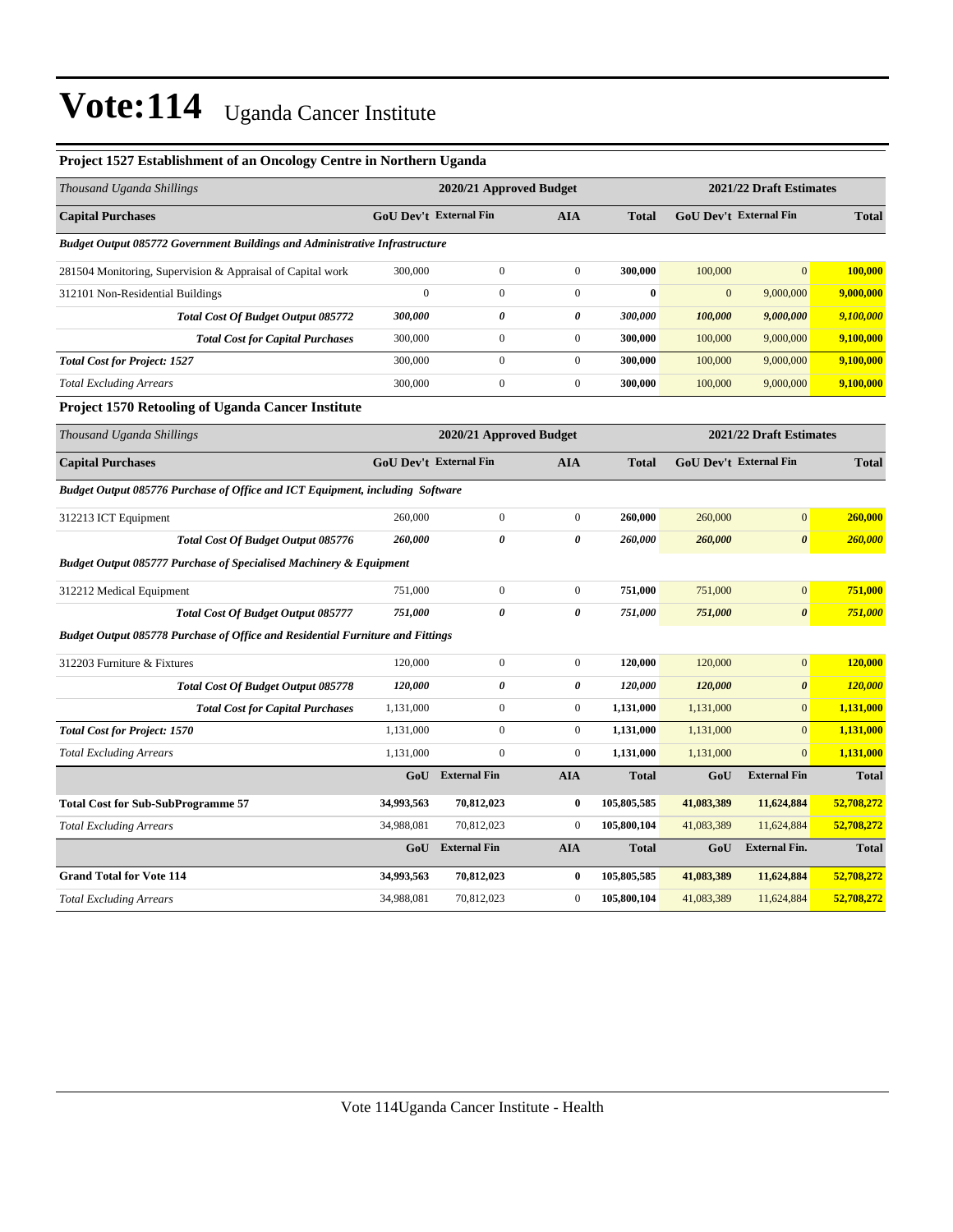#### **Project 1527 Establishment of an Oncology Centre in Northern Uganda**

| Thousand Uganda Shillings                                                          | 2020/21 Approved Budget |                               |                  |              | 2021/22 Draft Estimates |                               |                |
|------------------------------------------------------------------------------------|-------------------------|-------------------------------|------------------|--------------|-------------------------|-------------------------------|----------------|
| <b>Capital Purchases</b>                                                           |                         | <b>GoU Dev't External Fin</b> | <b>AIA</b>       | <b>Total</b> |                         | <b>GoU Dev't External Fin</b> | <b>Total</b>   |
| <b>Budget Output 085772 Government Buildings and Administrative Infrastructure</b> |                         |                               |                  |              |                         |                               |                |
| 281504 Monitoring, Supervision & Appraisal of Capital work                         | 300,000                 | $\boldsymbol{0}$              | $\boldsymbol{0}$ | 300,000      | 100,000                 | $\mathbf{0}$                  | 100,000        |
| 312101 Non-Residential Buildings                                                   | $\boldsymbol{0}$        | $\boldsymbol{0}$              | $\boldsymbol{0}$ | $\bf{0}$     | $\mathbf{0}$            | 9,000,000                     | 9,000,000      |
| Total Cost Of Budget Output 085772                                                 | 300,000                 | 0                             | 0                | 300,000      | 100,000                 | 9,000,000                     | 9,100,000      |
| <b>Total Cost for Capital Purchases</b>                                            | 300,000                 | $\boldsymbol{0}$              | $\overline{0}$   | 300,000      | 100,000                 | 9,000,000                     | 9,100,000      |
| <b>Total Cost for Project: 1527</b>                                                | 300,000                 | $\boldsymbol{0}$              | $\boldsymbol{0}$ | 300,000      | 100,000                 | 9,000,000                     | 9,100,000      |
| <b>Total Excluding Arrears</b>                                                     | 300,000                 | $\boldsymbol{0}$              | $\boldsymbol{0}$ | 300,000      | 100,000                 | 9,000,000                     | 9,100,000      |
| <b>Project 1570 Retooling of Uganda Cancer Institute</b>                           |                         |                               |                  |              |                         |                               |                |
| Thousand Uganda Shillings                                                          |                         | 2020/21 Approved Budget       |                  |              |                         | 2021/22 Draft Estimates       |                |
| <b>Capital Purchases</b>                                                           | GoU Dev't External Fin  |                               | AIA              | <b>Total</b> |                         | <b>GoU Dev't External Fin</b> | <b>Total</b>   |
| Budget Output 085776 Purchase of Office and ICT Equipment, including Software      |                         |                               |                  |              |                         |                               |                |
| 312213 ICT Equipment                                                               | 260,000                 | $\boldsymbol{0}$              | $\boldsymbol{0}$ | 260,000      | 260,000                 | $\boldsymbol{0}$              | 260,000        |
| Total Cost Of Budget Output 085776                                                 | 260,000                 | 0                             | 0                | 260,000      | 260,000                 | $\boldsymbol{\theta}$         | <b>260,000</b> |
| <b>Budget Output 085777 Purchase of Specialised Machinery &amp; Equipment</b>      |                         |                               |                  |              |                         |                               |                |
| 312212 Medical Equipment                                                           | 751,000                 | $\boldsymbol{0}$              | $\boldsymbol{0}$ | 751,000      | 751,000                 | $\mathbf{0}$                  | 751,000        |
| Total Cost Of Budget Output 085777                                                 | 751,000                 | 0                             | 0                | 751,000      | 751,000                 | $\boldsymbol{\theta}$         | 751,000        |
| Budget Output 085778 Purchase of Office and Residential Furniture and Fittings     |                         |                               |                  |              |                         |                               |                |
| 312203 Furniture & Fixtures                                                        | 120,000                 | $\boldsymbol{0}$              | $\boldsymbol{0}$ | 120,000      | 120,000                 | $\mathbf{0}$                  | 120,000        |
| Total Cost Of Budget Output 085778                                                 | 120,000                 | 0                             | 0                | 120,000      | 120,000                 | $\boldsymbol{\theta}$         | 120,000        |
| <b>Total Cost for Capital Purchases</b>                                            | 1,131,000               | $\boldsymbol{0}$              | $\boldsymbol{0}$ | 1,131,000    | 1,131,000               | $\overline{0}$                | 1,131,000      |
| <b>Total Cost for Project: 1570</b>                                                | 1,131,000               | $\overline{0}$                | $\overline{0}$   | 1,131,000    | 1,131,000               | $\mathbf{0}$                  | 1,131,000      |
| <b>Total Excluding Arrears</b>                                                     | 1,131,000               | $\overline{0}$                | $\boldsymbol{0}$ | 1,131,000    | 1,131,000               | $\overline{0}$                | 1,131,000      |
|                                                                                    | GoU                     | <b>External Fin</b>           | <b>AIA</b>       | <b>Total</b> | GoU                     | <b>External Fin</b>           | <b>Total</b>   |
| <b>Total Cost for Sub-SubProgramme 57</b>                                          | 34,993,563              | 70,812,023                    | $\bf{0}$         | 105,805,585  | 41,083,389              | 11,624,884                    | 52,708,272     |
| <b>Total Excluding Arrears</b>                                                     | 34,988,081              | 70,812,023                    | $\boldsymbol{0}$ | 105,800,104  | 41,083,389              | 11,624,884                    | 52,708,272     |
|                                                                                    | GoU                     | <b>External Fin</b>           | <b>AIA</b>       | <b>Total</b> | GoU                     | <b>External Fin.</b>          | <b>Total</b>   |
| <b>Grand Total for Vote 114</b>                                                    | 34,993,563              | 70,812,023                    | 0                | 105,805,585  | 41,083,389              | 11,624,884                    | 52,708,272     |
| <b>Total Excluding Arrears</b>                                                     | 34,988,081              | 70,812,023                    | $\boldsymbol{0}$ | 105,800,104  | 41,083,389              | 11,624,884                    | 52,708,272     |